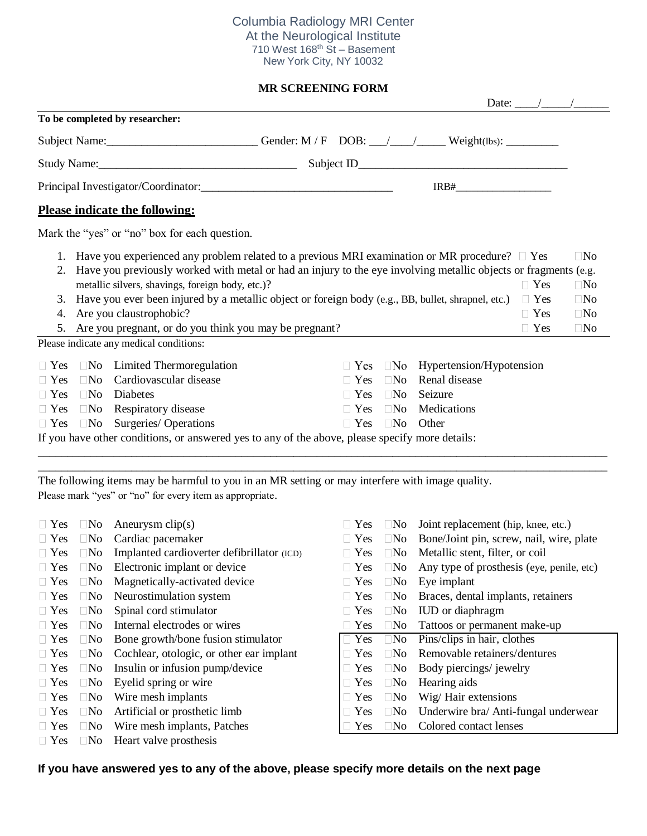#### Columbia Radiology MRI Center At the Neurological Institute 710 West  $168^{th}$  St – Basement New York City, NY 10032

### **MR SCREENING FORM**

|            |                      |                                                                                                                                                                                                                                                                                    |                      |              | Date: $\frac{\sqrt{2}}{2}$                                     |                              |
|------------|----------------------|------------------------------------------------------------------------------------------------------------------------------------------------------------------------------------------------------------------------------------------------------------------------------------|----------------------|--------------|----------------------------------------------------------------|------------------------------|
|            |                      | To be completed by researcher:                                                                                                                                                                                                                                                     |                      |              |                                                                |                              |
|            |                      | Subject Name: ________________________________Gender: M / F DOB: ___/____/ ______ Weight(lbs): __________                                                                                                                                                                          |                      |              |                                                                |                              |
|            |                      |                                                                                                                                                                                                                                                                                    |                      |              |                                                                |                              |
|            |                      |                                                                                                                                                                                                                                                                                    |                      |              |                                                                |                              |
|            |                      | <b>Please indicate the following:</b>                                                                                                                                                                                                                                              |                      |              |                                                                |                              |
|            |                      | Mark the "yes" or "no" box for each question.                                                                                                                                                                                                                                      |                      |              |                                                                |                              |
|            |                      | 1. Have you experienced any problem related to a previous MRI examination or MR procedure? $\square$ Yes<br>2. Have you previously worked with metal or had an injury to the eye involving metallic objects or fragments (e.g.<br>metallic silvers, shavings, foreign body, etc.)? |                      |              | $\Box$ Yes                                                     | $\square$ No<br>$\square$ No |
|            |                      | 3. Have you ever been injured by a metallic object or foreign body (e.g., BB, bullet, shrapnel, etc.)                                                                                                                                                                              |                      |              | $\Box$ Yes                                                     | $\Box$ No                    |
|            |                      | 4. Are you claustrophobic?                                                                                                                                                                                                                                                         |                      |              | $\Box$ Yes                                                     | $\Box$ No                    |
|            |                      | 5. Are you pregnant, or do you think you may be pregnant?                                                                                                                                                                                                                          |                      |              | $\Box$ Yes                                                     | $\Box$ No                    |
|            |                      | Please indicate any medical conditions:                                                                                                                                                                                                                                            |                      |              |                                                                |                              |
|            |                      | $\Box$ Yes $\Box$ No Limited Thermoregulation                                                                                                                                                                                                                                      |                      |              | $\Box$ Yes $\Box$ No Hypertension/Hypotension                  |                              |
|            |                      | $\Box$ Yes $\Box$ No Cardiovascular disease                                                                                                                                                                                                                                        |                      |              | $\Box$ Yes $\Box$ No Renal disease                             |                              |
|            | $\Box$ Yes $\Box$ No | Diabetes                                                                                                                                                                                                                                                                           | $\Box$ Yes $\Box$ No |              | Seizure                                                        |                              |
|            |                      | $\Box$ Yes $\Box$ No Respiratory disease                                                                                                                                                                                                                                           |                      |              | $\Box$ Yes $\Box$ No Medications                               |                              |
|            |                      | $\Box$ Yes $\Box$ No Surgeries/ Operations                                                                                                                                                                                                                                         | $\Box$ Yes           | $\Box$ No    | Other                                                          |                              |
|            |                      | If you have other conditions, or answered yes to any of the above, please specify more details:                                                                                                                                                                                    |                      |              |                                                                |                              |
|            |                      | The following items may be harmful to you in an MR setting or may interfere with image quality.<br>Please mark "yes" or "no" for every item as appropriate.                                                                                                                        |                      |              |                                                                |                              |
|            |                      | $\Box$ Yes $\Box$ No Aneurysm clip(s)                                                                                                                                                                                                                                              |                      |              | $\Box$ Yes $\Box$ No Joint replacement (hip, knee, etc.)       |                              |
|            |                      | $\Box$ Yes $\Box$ No Cardiac pacemaker                                                                                                                                                                                                                                             |                      |              | $\Box$ Yes $\Box$ No Bone/Joint pin, screw, nail, wire, plate  |                              |
|            |                      | $\Box$ Yes $\Box$ No Implanted cardioverter defibrillator (ICD)                                                                                                                                                                                                                    |                      |              | $\Box$ Yes $\Box$ No Metallic stent, filter, or coil           |                              |
|            |                      | $\Box$ Yes $\Box$ No Electronic implant or device                                                                                                                                                                                                                                  |                      |              | $\Box$ Yes $\Box$ No Any type of prosthesis (eye, penile, etc) |                              |
| $\Box$ Yes | $\Box$ No            | Magnetically-activated device                                                                                                                                                                                                                                                      | $\Box$ Yes           | $\square$ No | Eye implant                                                    |                              |
| $\Box$ Yes | $\Box$ No            | Neurostimulation system                                                                                                                                                                                                                                                            | $\Box$ Yes           | $\Box$ No    | Braces, dental implants, retainers                             |                              |
| $\Box$ Yes | $\Box$ No            | Spinal cord stimulator                                                                                                                                                                                                                                                             | $\Box$ Yes           | $\Box$ No    | IUD or diaphragm                                               |                              |
| $\Box$ Yes | $\Box$ No            | Internal electrodes or wires                                                                                                                                                                                                                                                       | $\Box$ Yes           | $\Box$ No    | Tattoos or permanent make-up                                   |                              |
| $\Box$ Yes | $\Box$ No            | Bone growth/bone fusion stimulator                                                                                                                                                                                                                                                 | $\Box$ Yes           | $\square$ No | Pins/clips in hair, clothes                                    |                              |
| $\Box$ Yes | $\Box$ No            | Cochlear, otologic, or other ear implant                                                                                                                                                                                                                                           | $\Box$ Yes           | $\Box$ No    | Removable retainers/dentures                                   |                              |
| $\Box$ Yes | $\Box$ No            | Insulin or infusion pump/device                                                                                                                                                                                                                                                    | $\Box$ Yes           | $\Box$ No    | Body piercings/jewelry                                         |                              |
| $\Box$ Yes | $\Box$ No            | Eyelid spring or wire                                                                                                                                                                                                                                                              | $\Box$ Yes           | $\Box$ No    | Hearing aids                                                   |                              |

- $\Box$  Yes  $\Box$  No Wire mesh implants
- $\Box$  Yes  $\Box$  No Artificial or prosthetic limb
- $\Box$  Yes  $\Box$  No Wire mesh implants, Patches
- $\Box$  Yes  $\Box$  No Heart valve prosthesis
- $\Box$  Yes  $\Box$  No Wig/ Hair extensions
- $\Box$  Yes  $\Box$  No Underwire bra/ Anti-fungal underwear
- $\Box$  Yes  $\Box$  No Colored contact lenses

## **If you have answered yes to any of the above, please specify more details on the next page**